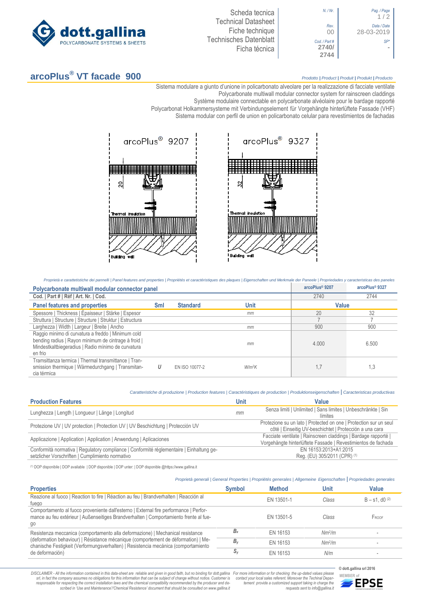

Scheda tecnica Technical Datasheet Fiche technique Technisches Datenblatt Ficha técnica



## **arcoPlus® VT facade 900** *Prodotto <sup>|</sup> Product <sup>|</sup> Produit <sup>|</sup> Produkt <sup>|</sup> Producto*

1 / 2

**-**

Sistema modulare a giunto d'unione in policarbonato alveolare per la realizzazione di facciate ventilate Polycarbonate multiwall modular connector system for rainscreen claddings

Système modulaire connectable en polycarbonate alvéolaire pour le bardage rapporté

Polycarbonat Holkammersysteme mit Verbindungselement für Vorgehängte hinterlüftete Fassade (VHF)

Sistema [modular con perfil de union en policarbonato c](http://www.google.it/url?sa=t&rct=j&q=&esrc=s&source=web&cd=6&ved=0ahUKEwiPyOW6w_3PAhXLORoKHXbkAhUQFggtMAU&url=http%3A%2F%2Fwww.getsl.com%2Fes%2Fmateriales-construccion%2Fsabic-policarbonato%2Fplaca-solida%2Flexan-exell-d-placa-translucida%2F&usg=AFQjCNF4aMpg9CRcF79iWWH-XBKKMH3eWA&bvm=bv.136811127,d.bGs)elular para revestimientos de fachadas



Proprietà e carattetistiche dei pannelli | Panel features and properties | Propriétés et caractéristiques des plaques | Eigenschaften und Merkmale der Paneele | Propriedades y caracteristicas des paneles

| Polycarbonate multiwall modular connector panel                                                                                                                             |     |                 | arcoPlus® 9207 | arcoPlus® 9327 |       |
|-----------------------------------------------------------------------------------------------------------------------------------------------------------------------------|-----|-----------------|----------------|----------------|-------|
| Cod.   Part #   Réf   Art. Nr.   Cod.                                                                                                                                       |     |                 |                | 2740           | 2744  |
| <b>Panel features and properties</b>                                                                                                                                        | Sml | <b>Standard</b> | Unit           | Value          |       |
| Spessore   Thickness   Épaisseur   Stärke   Espesor                                                                                                                         |     |                 | mm             | 20             | 32    |
| Struttura   Structure   Structure   Struktur   Estructura                                                                                                                   |     |                 |                |                |       |
| Larghezza   Width   Largeur   Breite   Ancho                                                                                                                                |     |                 | mm             | 900            | 900   |
| Raggio minimo di curvatura a freddo   Minimum cold<br>bending radius   Rayon minimum de cintrage à froid  <br>Mindestkaltbiegeradius   Radio mínimo de curvatura<br>en frio |     |                 | mm             | 4.000          | 6.500 |
| Tramsittanza termica   Thermal transmittance   Tran-<br>smission thermique   Wärmedurchgang   Transmitan-<br>cia térmica                                                    | U   | EN ISO 10077-2  | $W/m^2K$       | 1,7            | 1,3   |

*Caratteristiche di produzione | Production features | Caractéristiques de production | Produktionseigenschaften* **|** *Caracteristicas productivas*

| <b>Production Features</b>                                                                                                                   | Unit | Value                                                                                                                           |
|----------------------------------------------------------------------------------------------------------------------------------------------|------|---------------------------------------------------------------------------------------------------------------------------------|
| Lunghezza   Length   Longueur   Länge   Longitud                                                                                             | mm   | Senza limiti   Unlimited   Sans limites   Unbeschränkte   Sin<br>límites                                                        |
| Protezione UV   UV protection   Protection UV   UV Beschichtung   Protección UV                                                              |      | Protezione su un lato   Protected on one   Protection sur un seul<br>côté   Einseitig UV-beschichtet   Protección a una cara    |
| Applicazione   Application   Application   Anwendung   Aplicaciones                                                                          |      | Facciate ventilate   Rainscreen claddings   Bardage rapporté  <br>Vorgehängte hinterlüftete Fassade   Revestimientos de fachada |
| Conformità normativa   Regulatory compliance   Conformité réglementaire   Einhaltung ge-<br>setzlicher Vorschriften   Cumplimiento normativo |      | EN 16153:2013+A1:2015<br>Reg. (EU) 305/2011 (CPR) (1)                                                                           |

(1) DOP disponibile | DOP available | DOP disponible | DOP unter: | DOP disponible @https://www.gallina.it

## *Proprietà generali | General Properties | Propriétés generales | Allgemeine Eigenschaften* **|** *Propriedades generales*

| <b>Properties</b>                                                                                                                                                                    | <b>Symbol</b> | <b>Method</b> | Unit               | <b>Value</b>                 |
|--------------------------------------------------------------------------------------------------------------------------------------------------------------------------------------|---------------|---------------|--------------------|------------------------------|
| Reazione al fuoco   Reaction to fire   Réaction au feu   Brandverhalten   Reacción al<br>fuego                                                                                       |               | EN 13501-1    | Class              | $B - s1$ , d0 <sup>(2)</sup> |
| Comportamento al fuoco proveniente dall'esterno   External fire performance   Perfor-<br>mance au feu extérieur   Außenseitiges Brandverhalten   Comportamiento frente al fue-<br>go |               | EN 13501-5    | Class              | FROOF                        |
| Resistenza meccanica (comportamento alla deformazione)   Mechanical resistance                                                                                                       | $B_x$         | EN 16153      | Nm <sup>2</sup> /m |                              |
| (deformation behaviour)   Résistance mécanique (comportement de déformation)   Me-<br>chanische Festigkeit (Verformungsverhalten)   Resistencia mecánica (comportamiento             | $B_{v}$       | EN 16153      | Nm <sup>2</sup> /m |                              |
| de deformación)                                                                                                                                                                      | S,            | EN 16153      | N/m                |                              |

DISCLAIMER - All the information contained in this data-sheet are reliable and given in good faith, but no binding for dott.gallina For more information or for checking the up-dated values please<br>-srl, in fact the company -responsable for respecting the correct installation laws and the chemical compatibility recommended by the producer and de-<br>scribed in 'Use and Maintenance'/'Chemical Resistence' document that should be consulted on www.g

*tement provide a customized support taking in charge the requests sent to info@gallina.it*



**© dott.gallina srl 2016**